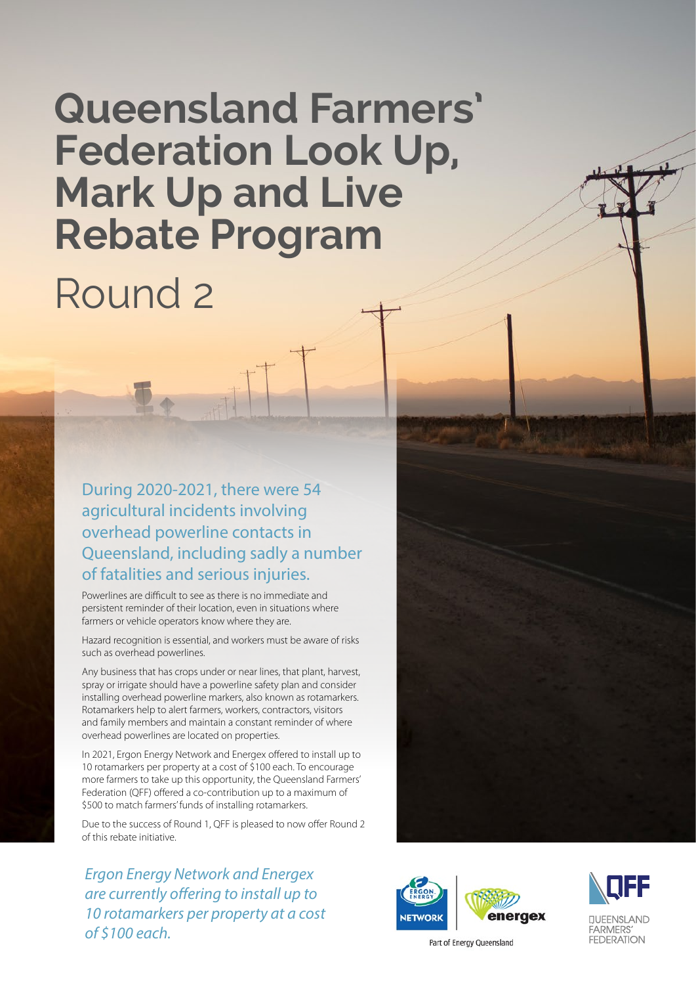# **Queensland Farmers' Federation Look Up, Mark Up and Live Rebate Program** Round 2

During 2020-2021, there were 54 agricultural incidents involving overhead powerline contacts in Queensland, including sadly a number of fatalities and serious injuries.

Powerlines are difficult to see as there is no immediate and persistent reminder of their location, even in situations where farmers or vehicle operators know where they are.

Hazard recognition is essential, and workers must be aware of risks such as overhead powerlines.

Any business that has crops under or near lines, that plant, harvest, spray or irrigate should have a powerline safety plan and consider installing overhead powerline markers, also known as rotamarkers. Rotamarkers help to alert farmers, workers, contractors, visitors and family members and maintain a constant reminder of where overhead powerlines are located on properties.

In 2021, Ergon Energy Network and Energex offered to install up to 10 rotamarkers per property at a cost of \$100 each. To encourage more farmers to take up this opportunity, the Queensland Farmers' Federation (QFF) offered a co-contribution up to a maximum of \$500 to match farmers' funds of installing rotamarkers.

Due to the success of Round 1, QFF is pleased to now offer Round 2 of this rebate initiative.

*Ergon Energy Network and Energex are currently offering to install up to 10 rotamarkers per property at a cost of \$100 each.* 





Part of Energy Queensland